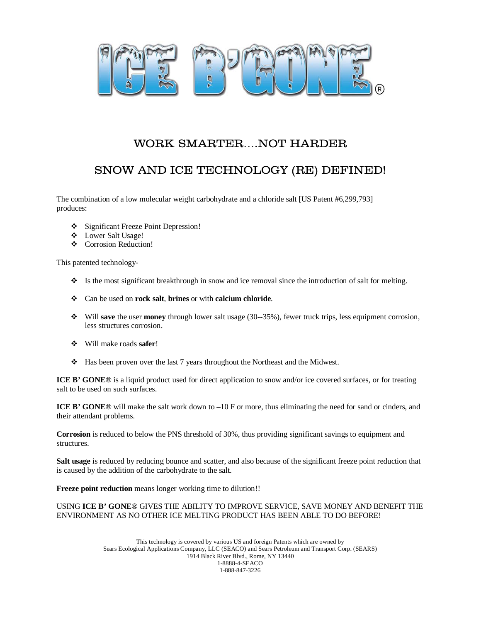

## WORK SMARTER….NOT HARDER

# SNOW AND ICE TECHNOLOGY (RE) DEFINED!

The combination of a low molecular weight carbohydrate and a chloride salt [US Patent #6,299,793] produces:

- Significant Freeze Point Depression!
- Lower Salt Usage!
- ❖ Corrosion Reduction!

This patented technology-

- $\bullet$  Is the most significant breakthrough in snow and ice removal since the introduction of salt for melting.
- Can be used on **rock salt**, **brines** or with **calcium chloride**.
- Will **save** the user **money** through lower salt usage (30--35%), fewer truck trips, less equipment corrosion, less structures corrosion.
- Will make roads **safer**!
- Has been proven over the last 7 years throughout the Northeast and the Midwest.

**ICE B' GONE®** is a liquid product used for direct application to snow and/or ice covered surfaces, or for treating salt to be used on such surfaces.

**ICE B' GONE®** will make the salt work down to –10 F or more, thus eliminating the need for sand or cinders, and their attendant problems.

**Corrosion** is reduced to below the PNS threshold of 30%, thus providing significant savings to equipment and structures.

**Salt usage** is reduced by reducing bounce and scatter, and also because of the significant freeze point reduction that is caused by the addition of the carbohydrate to the salt.

**Freeze point reduction** means longer working time to dilution!!

#### USING **ICE B' GONE®** GIVES THE ABILITY TO IMPROVE SERVICE, SAVE MONEY AND BENEFIT THE ENVIRONMENT AS NO OTHER ICE MELTING PRODUCT HAS BEEN ABLE TO DO BEFORE!

This technology is covered by various US and foreign Patents which are owned by Sears Ecological Applications Company, LLC (SEACO) and Sears Petroleum and Transport Corp. (SEARS) 1914 Black River Blvd., Rome, NY 13440 1-8888-4-SEACO 1-888-847-3226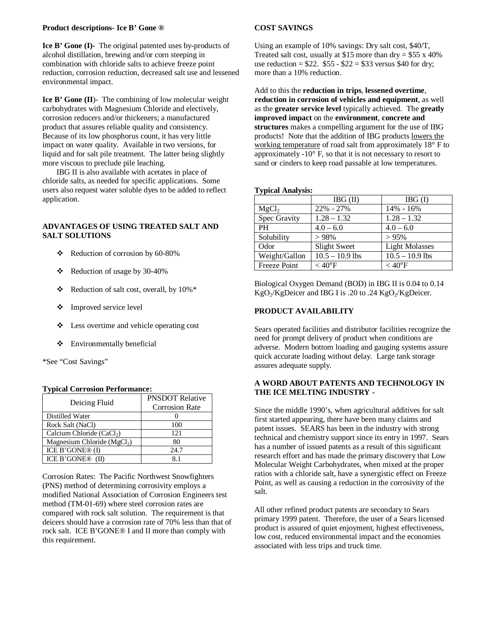#### **Product descriptions- Ice B' Gone ®**

**Ice B' Gone (I)-** The original patented uses by-products of alcohol distillation, brewing and/or corn steeping in combination with chloride salts to achieve freeze point reduction, corrosion reduction, decreased salt use and lessened environmental impact.

**Ice B' Gone (II**)- The combining of low molecular weight carbohydrates with Magnesium Chloride and electively, corrosion reducers and/or thickeners; a manufactured product that assures reliable quality and consistency. Because of its low phosphorus count, it has very little impact on water quality. Available in two versions, for liquid and for salt pile treatment. The latter being slightly more viscous to preclude pile leaching.

IBG II is also available with acetates in place of chloride salts, as needed for specific applications. Some users also request water soluble dyes to be added to reflect application.

#### **ADVANTAGES OF USING TREATED SALT AND SALT SOLUTIONS**

- $\div$  Reduction of corrosion by 60-80%
- Reduction of usage by 30-40%
- $\triangleleft$  Reduction of salt cost, overall, by 10%\*
- Improved service level
- Less overtime and vehicle operating cost
- Environmentally beneficial

\*See "Cost Savings"

#### **Typical Corrosion Performance:**

| Deicing Fluid                         | <b>PNSDOT Relative</b><br><b>Corrosion Rate</b> |
|---------------------------------------|-------------------------------------------------|
| Distilled Water                       |                                                 |
| Rock Salt (NaCl)                      | 100                                             |
| Calcium Chloride (CaCl <sub>2</sub> ) | 121                                             |
| Magnesium Chloride ( $MgCl2$ )        | 80                                              |
| ICE B'GONE® (I)                       | 24.7                                            |
| ICE B'GONE® (II)                      |                                                 |

Corrosion Rates: The Pacific Northwest Snowfighters (PNS) method of determining corrosivity employs a modified National Association of Corrosion Engineers test method (TM-01-69) where steel corrosion rates are compared with rock salt solution. The requirement is that deicers should have a corrosion rate of 70% less than that of rock salt. ICE B'GONE® I and II more than comply with this requirement.

#### **COST SAVINGS**

Using an example of 10% savings: Dry salt cost, \$40/T, Treated salt cost, usually at \$15 more than  $\text{dry} = $55 \times 40\%$ use reduction =  $$22.$   $$55 - $22 = $33$  versus \$40 for dry; more than a 10% reduction.

Add to this the **reduction in trips**, **lessened overtime**, **reduction in corrosion of vehicles and equipment**, as well as the **greater service level** typically achieved. The **greatly improved impact** on the **environment**, **concrete and structures** makes a compelling argument for the use of IBG products! Note that the addition of IBG products lowers the working temperature of road salt from approximately 18° F to approximately -10° F, so that it is not necessary to resort to sand or cinders to keep road passable at low temperatures.

#### **Typical Analysis:**

|                   | IBG (II)            | IBG(I)                |
|-------------------|---------------------|-----------------------|
| MgCl <sub>2</sub> | 22% - 27%           | $14\% - 16\%$         |
| Spec Gravity      | $1.28 - 1.32$       | $1.28 - 1.32$         |
| <b>PH</b>         | $4.0 - 6.0$         | $4.0 - 6.0$           |
| Solubility        | >98%                | > 95%                 |
| Odor              | <b>Slight Sweet</b> | <b>Light Molasses</b> |
| Weight/Gallon     | $10.5 - 10.9$ lbs   | $10.5 - 10.9$ lbs     |
| Freeze Point      | $<$ 40°F            | $<$ 40 $\rm{^oF}$     |

Biological Oxygen Demand (BOD) in IBG II is 0.04 to 0.14 KgO<sub>2</sub>/KgDeicer and IBG I is .20 to .24 KgO<sub>2</sub>/KgDeicer.

#### **PRODUCT AVAILABILITY**

Sears operated facilities and distributor facilities recognize the need for prompt delivery of product when conditions are adverse. Modern bottom loading and gauging systems assure quick accurate loading without delay. Large tank storage assures adequate supply.

#### **A WORD ABOUT PATENTS AND TECHNOLOGY IN THE ICE MELTING INDUSTRY -**

Since the middle 1990's, when agricultural additives for salt first started appearing, there have been many claims and patent issues. SEARS has been in the industry with strong technical and chemistry support since its entry in 1997. Sears has a number of issued patents as a result of this significant research effort and has made the primary discovery that Low Molecular Weight Carbohydrates, when mixed at the proper ratios with a chloride salt, have a synergistic effect on Freeze Point, as well as causing a reduction in the corrosivity of the salt.

All other refined product patents are secondary to Sears primary 1999 patent. Therefore, the user of a Sears licensed product is assured of quiet enjoyment, highest effectiveness, low cost, reduced environmental impact and the economies associated with less trips and truck time.